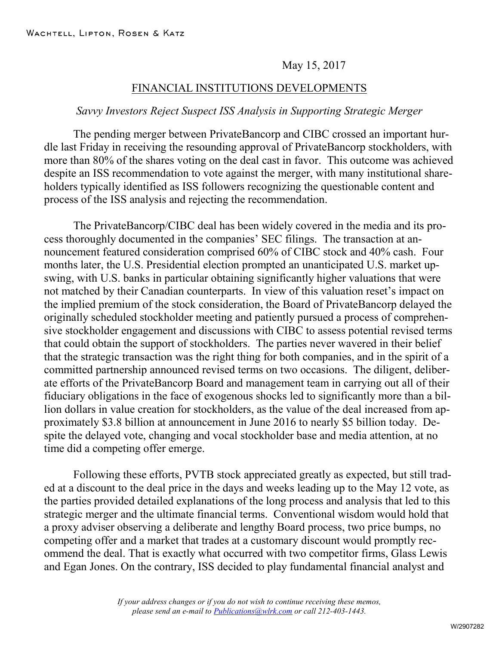## May 15, 2017

## FINANCIAL INSTITUTIONS DEVELOPMENTS

## *Savvy Investors Reject Suspect ISS Analysis in Supporting Strategic Merger*

The pending merger between PrivateBancorp and CIBC crossed an important hurdle last Friday in receiving the resounding approval of PrivateBancorp stockholders, with more than 80% of the shares voting on the deal cast in favor. This outcome was achieved despite an ISS recommendation to vote against the merger, with many institutional shareholders typically identified as ISS followers recognizing the questionable content and process of the ISS analysis and rejecting the recommendation.

The PrivateBancorp/CIBC deal has been widely covered in the media and its process thoroughly documented in the companies' SEC filings. The transaction at announcement featured consideration comprised 60% of CIBC stock and 40% cash. Four months later, the U.S. Presidential election prompted an unanticipated U.S. market upswing, with U.S. banks in particular obtaining significantly higher valuations that were not matched by their Canadian counterparts. In view of this valuation reset's impact on the implied premium of the stock consideration, the Board of PrivateBancorp delayed the originally scheduled stockholder meeting and patiently pursued a process of comprehensive stockholder engagement and discussions with CIBC to assess potential revised terms that could obtain the support of stockholders. The parties never wavered in their belief that the strategic transaction was the right thing for both companies, and in the spirit of a committed partnership announced revised terms on two occasions. The diligent, deliberate efforts of the PrivateBancorp Board and management team in carrying out all of their fiduciary obligations in the face of exogenous shocks led to significantly more than a billion dollars in value creation for stockholders, as the value of the deal increased from approximately \$3.8 billion at announcement in June 2016 to nearly \$5 billion today. Despite the delayed vote, changing and vocal stockholder base and media attention, at no time did a competing offer emerge.

Following these efforts, PVTB stock appreciated greatly as expected, but still traded at a discount to the deal price in the days and weeks leading up to the May 12 vote, as the parties provided detailed explanations of the long process and analysis that led to this strategic merger and the ultimate financial terms. Conventional wisdom would hold that a proxy adviser observing a deliberate and lengthy Board process, two price bumps, no competing offer and a market that trades at a customary discount would promptly recommend the deal. That is exactly what occurred with two competitor firms, Glass Lewis and Egan Jones. On the contrary, ISS decided to play fundamental financial analyst and

> *If your address changes or if you do not wish to continue receiving these memos, please send an e-mail to [Publications@wlrk.com](mailto:Publications@wlrk.com) or call 212-403-1443.*